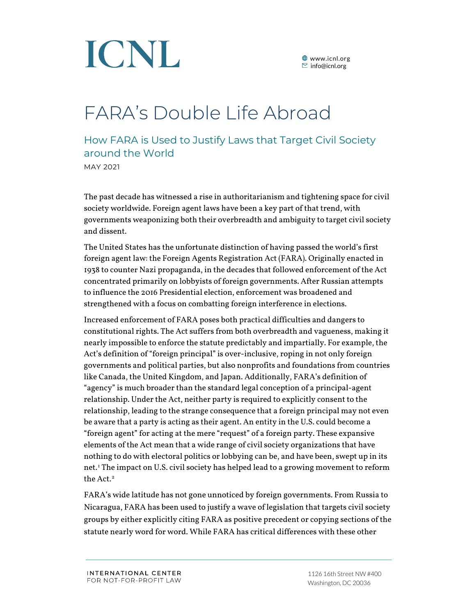

### FARA's Double Life Abroad

How FARA is Used to Justify Laws that Target Civil Society around the World MAY 2021

The past decade has witnessed a rise in authoritarianism and tightening space for civil society worldwide. Foreign agent laws have been a key part of that trend, with governments weaponizing both their overbreadth and ambiguity to target civil society and dissent.

The United States has the unfortunate distinction of having passed the world's first foreign agent law: the Foreign Agents Registration Act (FARA). Originally enacted in 1938 to counter Nazi propaganda, in the decades that followed enforcement of the Act concentrated primarily on lobbyists of foreign governments. After Russian attempts to influence the 2016 Presidential election, enforcement was broadened and strengthened with a focus on combatting foreign interference in elections.

Increased enforcement of FARA poses both practical difficulties and dangers to constitutional rights. The Act suffers from both overbreadth and vagueness, making it nearly impossible to enforce the statute predictably and impartially. For example, the Act's definition of "foreign principal" is over-inclusive, roping in not only foreign governments and political parties, but also nonprofits and foundations from countries like Canada, the United Kingdom, and Japan. Additionally, FARA's definition of "agency" is much broader than the standard legal conception of a principal-agent relationship. Under the Act, neither party is required to explicitly consent to the relationship, leading to the strange consequence that a foreign principal may not even be aware that a party is acting as their agent. An entity in the U.S. could become a "foreign agent" for acting at the mere "request" of a foreign party. These expansive elements of the Act mean that a wide range of civil society organizations that have nothing to do with electoral politics or lobbying can be, and have been, swept up in its net.[1](#page-3-0) The impact on U.S. civil society has helped lead to a growing movement to reform the Act. [2](#page-3-1)

FARA's wide latitude has not gone unnoticed by foreign governments. From Russia to Nicaragua, FARA has been used to justify a wave of legislation that targets civil society groups by either explicitly citing FARA as positive precedent or copying sections of the statute nearly word for word. While FARA has critical differences with these other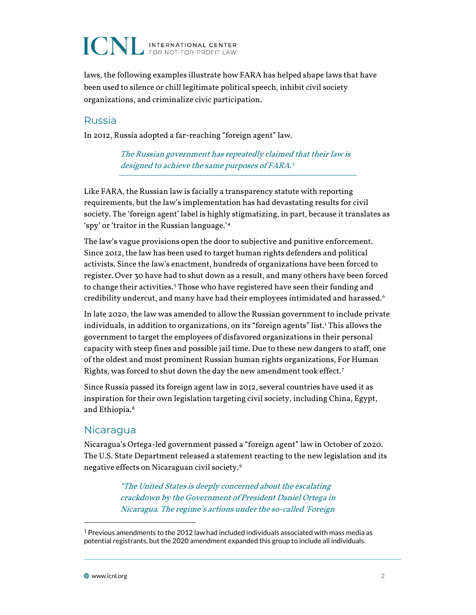## **ICNL INTERNATIONAL CENTER**

laws, the following examples illustrate how FARA has helped shape laws that have been used to silence or chill legitimate political speech, inhibit civil society organizations, and criminalize civic participation.

#### Russia

In 2012, Russia adopted a far-reaching "foreign agent" law.

The Russian government has repeatedly claimed that their law is designed to achieve the same purposes of FARA.<sup>3</sup>

Like FARA, the Russian law is facially a transparency statute with reporting requirements, but the law's implementation has had devastating results for civil society. The 'foreign agent' label is highly stigmatizing, in part, because it translates as 'spy' or 'traitor in the Russian language.'[4](#page-4-0)

The law's vague provisions open the door to subjective and punitive enforcement. Since 2012, the law has been used to target human rights defenders and political activists. Since the law's enactment, hundreds of organizations have been forced to register. Over 30 have had to shut down as a result, and many others have been forced to change their activities. [5](#page-4-1) Those who have registered have seen their funding and credibility undercut, and many have had their employees intimidated and harassed. [6](#page-4-2)

In late 2020, the law was amended to allow the Russian government to include private individuals, in addition to organizations, on its "foreign agents" list. [1](#page-1-0) This allows the government to target the employees of disfavored organizations in their personal capacity with steep fines and possible jail time. Due to these new dangers to staff, one of the oldest and most prominent Russian human rights organizations, For Human Rights, was forced to shut down the day the new amendment took effect.[7](#page-4-3)

Since Russia passed its foreign agent law in 2012, several countries have used it as inspiration for their own legislation targeting civil society, including China, Egypt, and Ethiopia.<sup>[8](#page-4-4)</sup>

#### **Nicaragua**

Nicaragua's Ortega-led government passed a "foreign agent" law in October of 2020. The U.S. State Department released a statement reacting to the new legislation and its negative effects on Nicaraguan civil society.[9](#page-4-5)

> "The United States is deeply concerned about the escalating crackdown by the Government of President Daniel Ortega in Nicaragua. The regime's actions under the so-called 'Foreign

<span id="page-1-0"></span> $1$  Previous amendments to the 2012 law had included individuals associated with mass media as potential registrants, but the 2020 amendment expanded this group to include all individuals.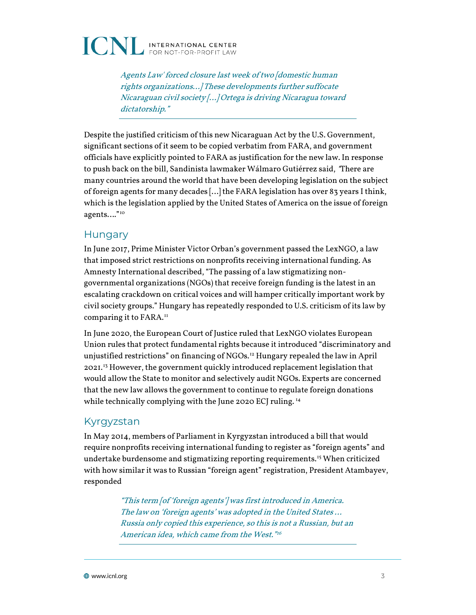

Agents Law' forced closure last week of two [domestic human rights organizations…] These developments further suffocate Nicaraguan civil society […] Ortega is driving Nicaragua toward dictatorship."

Despite the justified criticism of this new Nicaraguan Act by the U.S. Government, significant sections of it seem to be copied verbatim from FARA, and government officials have explicitly pointed to FARA as justification for the new law. In response to push back on the bill, Sandinista lawmaker Wálmaro Gutiérrez said, "There are many countries around the world that have been developing legislation on the subject of foreign agents for many decades […] the FARA legislation has over 83 years I think, which is the legislation applied by the United States of America on the issue of foreign agents…."[10](#page-4-6)

#### **Hungary**

In June 2017, Prime Minister Victor Orban's government passed the LexNGO, a law that imposed strict restrictions on nonprofits receiving international funding. As Amnesty International described, "The passing of a law stigmatizing nongovernmental organizations (NGOs) that receive foreign funding is the latest in an escalating crackdown on critical voices and will hamper critically important work by civil society groups." Hungary has repeatedly responded to U.S. criticism of its law by comparing it to FARA.<sup>[11](#page-4-7)</sup>

In June 2020, the European Court of Justice ruled that LexNGO violates European Union rules that protect fundamental rights because it introduced "discriminatory and unjustified restrictions" on financing of NGOs.[12](#page-4-8) Hungary repealed the law in April 2021.[13](#page-4-9) However, the government quickly introduced replacement legislation that would allow the State to monitor and selectively audit NGOs. Experts are concerned that the new law allows the government to continue to regulate foreign donations while technically complying with the June 2020 ECJ ruling. [14](#page-4-10)

#### Kyrgyzstan

In May 2014, members of Parliament in Kyrgyzstan introduced a bill that would require nonprofits receiving international funding to register as "foreign agents" and undertake burdensome and stigmatizing reporting requirements.<sup>[15](#page-4-11)</sup> When criticized with how similar it was to Russian "foreign agent" registration, President Atambayev, responded

> "This term [of 'foreign agents'] was first introduced in America. The law on 'foreign agents' was adopted in the United States … Russia only copied this experience, so this is not a Russian, but an American idea, which came from the West."[16](#page-4-12)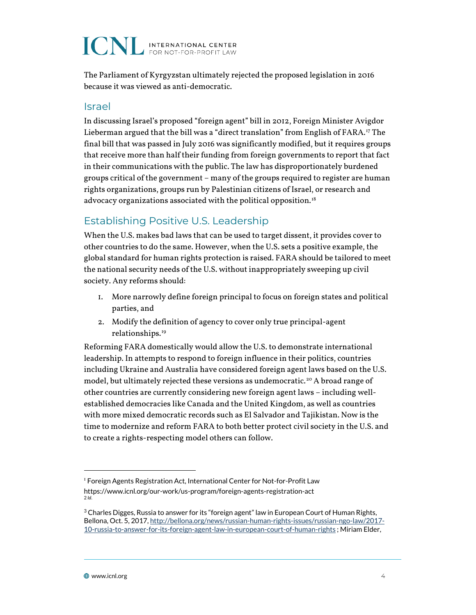# **ICNL** INTERNATIONAL CENTER

The Parliament of Kyrgyzstan ultimately rejected the proposed legislation in 2016 because it was viewed as anti-democratic.

#### Israel

In discussing Israel's proposed "foreign agent" bill in 2012, Foreign Minister Avigdor Lieberman argued that the bill was a "direct translation" from English of FARA.<sup>[17](#page-5-0)</sup> The final bill that was passed in July 2016 was significantly modified, but it requires groups that receive more than half their funding from foreign governments to report that fact in their communications with the public. The law has disproportionately burdened groups critical of the government – many of the groups required to register are human rights organizations, groups run by Palestinian citizens of Israel, or research and advocacy organizations associated with the political opposition.<sup>[18](#page-5-1)</sup>

### Establishing Positive U.S. Leadership

When the U.S. makes bad laws that can be used to target dissent, it provides cover to other countries to do the same. However, when the U.S. sets a positive example, the global standard for human rights protection is raised. FARA should be tailored to meet the national security needs of the U.S. without inappropriately sweeping up civil society. Any reforms should:

- 1. More narrowly define foreign principal to focus on foreign states and political parties, and
- 2. Modify the definition of agency to cover only true principal-agent relationships. [19](#page-5-2)

Reforming FARA domestically would allow the U.S. to demonstrate international leadership. In attempts to respond to foreign influence in their politics, countries including Ukraine and Australia have considered foreign agent laws based on the U.S. model, but ultimately rejected these versions as undemocratic.<sup>[20](#page-5-3)</sup> A broad range of other countries are currently considering new foreign agent laws – including wellestablished democracies like Canada and the United Kingdom, as well as countries with more mixed democratic records such as El Salvador and Tajikistan. Now is the time to modernize and reform FARA to both better protect civil society in the U.S. and to create a rights-respecting model others can follow.

<span id="page-3-0"></span><sup>&</sup>lt;sup>1</sup> Foreign Agents Registration Act, International Center for Not-for-Profit Law <https://www.icnl.org/our-work/us-program/foreign-agents-registration-act> 2 *Id*.

<span id="page-3-1"></span> $3$  Charles Digges, Russia to answer for its "foreign agent" law in European Court of Human Rights, Bellona, Oct. 5, 2017[, http://bellona.org/news/russian-human-rights-issues/russian-ngo-law/2017-](http://bellona.org/news/russian-human-rights-issues/russian-ngo-law/2017-10-russia-to-answer-for-its-foreign-agent-law-in-european-court-of-human-rights) [10-russia-to-answer-for-its-foreign-agent-law-in-european-court-of-human-rights](http://bellona.org/news/russian-human-rights-issues/russian-ngo-law/2017-10-russia-to-answer-for-its-foreign-agent-law-in-european-court-of-human-rights) ; Miriam Elder,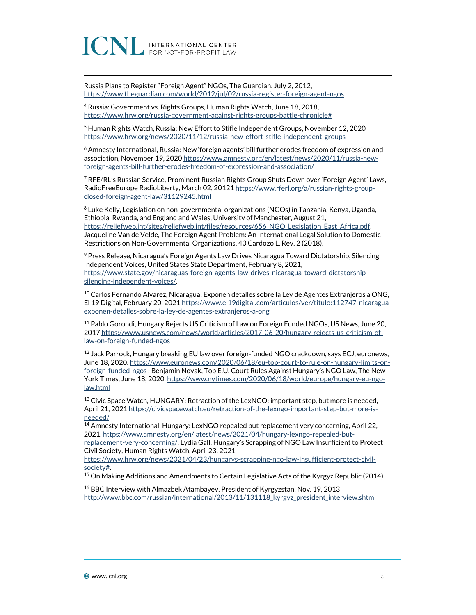INTERNATIONAL CENTER

Russia Plans to Register "Foreign Agent" NGOs, The Guardian, July 2, 2012, <https://www.theguardian.com/world/2012/jul/02/russia-register-foreign-agent-ngos>

<span id="page-4-0"></span><sup>4</sup> Russia: Government vs. Rights Groups, Human Rights Watch, June 18, 2018, [https://www.hrw.org/russia-government-against-rights-groups-battle-chronicle#](https://www.hrw.org/russia-government-against-rights-groups-battle-chronicle)

<span id="page-4-1"></span><sup>5</sup> Human Rights Watch, Russia: New Effort to Stifle Independent Groups, November 12, 2020 <https://www.hrw.org/news/2020/11/12/russia-new-effort-stifle-independent-groups>

<span id="page-4-2"></span><sup>6</sup> Amnesty International, Russia: New 'foreign agents' bill further erodes freedom of expression and association, November 19, 202[0 https://www.amnesty.org/en/latest/news/2020/11/russia-new](https://www.amnesty.org/en/latest/news/2020/11/russia-new-foreign-agents-bill-further-erodes-freedom-of-expression-and-association/)[foreign-agents-bill-further-erodes-freedom-of-expression-and-association/](https://www.amnesty.org/en/latest/news/2020/11/russia-new-foreign-agents-bill-further-erodes-freedom-of-expression-and-association/)

<span id="page-4-3"></span><sup>7</sup> RFE/RL's Russian Service, Prominent Russian Rights Group Shuts Down over 'Foreign Agent' Laws, RadioFreeEurope RadioLiberty, March 02, 2012[1 https://www.rferl.org/a/russian-rights-group](https://www.rferl.org/a/russian-rights-group-closed-foreign-agent-law/31129245.html)[closed-foreign-agent-law/31129245.html](https://www.rferl.org/a/russian-rights-group-closed-foreign-agent-law/31129245.html)

<span id="page-4-4"></span><sup>8</sup> Luke Kelly, Legislation on non-governmental organizations (NGOs) in Tanzania, Kenya, Uganda, Ethiopia, Rwanda, and England and Wales, University of Manchester, August 21, https://reliefweb.int/sites/reliefweb.int/files/resources/656\_NGO\_Legislation\_East\_Africa.pdf. Jacqueline Van de Velde, The Foreign Agent Problem: An International Legal Solution to Domestic Restrictions on Non-Governmental Organizations, 40 Cardozo L. Rev. 2 (2018).

<span id="page-4-5"></span><sup>9</sup> Press Release, Nicaragua's Foreign Agents Law Drives Nicaragua Toward Dictatorship, Silencing Independent Voices, United States State Department, February 8, 2021, [https://www.state.gov/nicaraguas-foreign-agents-law-drives-nicaragua-toward-dictatorship](https://www.state.gov/nicaraguas-foreign-agents-law-drives-nicaragua-toward-dictatorship-silencing-independent-voices/)[silencing-independent-voices/.](https://www.state.gov/nicaraguas-foreign-agents-law-drives-nicaragua-toward-dictatorship-silencing-independent-voices/) 

<span id="page-4-6"></span> $10$  Carlos Fernando Alvarez, Nicaragua: Exponen detalles sobre la Ley de Agentes Extranjeros a ONG, El 19 Digital, February 20, 202[1 https://www.el19digital.com/articulos/ver/titulo:112747-nicaragua](https://www.el19digital.com/articulos/ver/titulo:112747-nicaragua-exponen-detalles-sobre-la-ley-de-agentes-extranjeros-a-ong)[exponen-detalles-sobre-la-ley-de-agentes-extranjeros-a-ong](https://www.el19digital.com/articulos/ver/titulo:112747-nicaragua-exponen-detalles-sobre-la-ley-de-agentes-extranjeros-a-ong)

<span id="page-4-7"></span><sup>11</sup> Pablo Gorondi, Hungary Rejects US Criticism of Law on Foreign Funded NGOs, US News, June 20, 201[7 https://www.usnews.com/news/world/articles/2017-06-20/hungary-rejects-us-criticism-of](https://www.usnews.com/news/world/articles/2017-06-20/hungary-rejects-us-criticism-of-law-on-foreign-funded-ngos)[law-on-foreign-funded-ngos](https://www.usnews.com/news/world/articles/2017-06-20/hungary-rejects-us-criticism-of-law-on-foreign-funded-ngos)

<span id="page-4-8"></span> $12$  Jack Parrock, Hungary breaking EU law over foreign-funded NGO crackdown, says ECJ, euronews, June 18, 2020[. https://www.euronews.com/2020/06/18/eu-top-court-to-rule-on-hungary-limits-on](https://www.euronews.com/2020/06/18/eu-top-court-to-rule-on-hungary-limits-on-foreign-funded-ngos)[foreign-funded-ngos](https://www.euronews.com/2020/06/18/eu-top-court-to-rule-on-hungary-limits-on-foreign-funded-ngos) ; Benjamin Novak, Top E.U. Court Rules Against Hungary's NGO Law, The New York Times, June 18, 2020[. https://www.nytimes.com/2020/06/18/world/europe/hungary-eu-ngo](https://www.nytimes.com/2020/06/18/world/europe/hungary-eu-ngo-law.html)[law.html](https://www.nytimes.com/2020/06/18/world/europe/hungary-eu-ngo-law.html)

<span id="page-4-9"></span><sup>13</sup> Civic Space Watch, HUNGARY: Retraction of the LexNGO: important step, but more is needed, April 21, 2021 [https://civicspacewatch.eu/retraction-of-the-lexngo-important-step-but-more-is](https://civicspacewatch.eu/retraction-of-the-lexngo-important-step-but-more-is-needed/)[needed/](https://civicspacewatch.eu/retraction-of-the-lexngo-important-step-but-more-is-needed/)

<span id="page-4-10"></span><sup>14</sup> Amnesty International, Hungary: LexNGO repealed but replacement very concerning, April 22, 2021[, https://www.amnesty.org/en/latest/news/2021/04/hungary-lexngo-repealed-but](https://www.amnesty.org/en/latest/news/2021/04/hungary-lexngo-repealed-but-replacement-very-concerning/)[replacement-very-concerning/.](https://www.amnesty.org/en/latest/news/2021/04/hungary-lexngo-repealed-but-replacement-very-concerning/) Lydia Gall, Hungary's Scrapping of NGO Law Insufficient to Protect Civil Society, Human Rights Watch, April 23, 2021

[https://www.hrw.org/news/2021/04/23/hungarys-scrapping-ngo-law-insufficient-protect-civil-](https://www.hrw.org/news/2021/04/23/hungarys-scrapping-ngo-law-insufficient-protect-civil-society)<u>society#</u>.<br><sup>15</sup> On Making Additions and Amendments to Certain Legislative Acts of the Kyrgyz Republic (2014)

<span id="page-4-11"></span>

<span id="page-4-12"></span><sup>16</sup> BBC Interview with Almazbek Atambayev, President of Kyrgyzstan, Nov. 19, 2013 http://www.bbc.com/russian/international/2013/11/131118 kyrgyz\_president\_interview.shtml